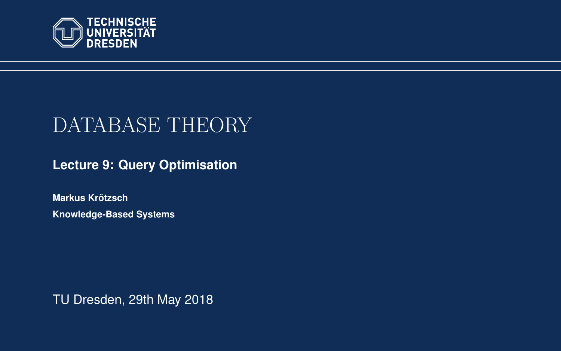<span id="page-0-0"></span>

# DATABASE THEORY

**[Lecture 9: Query Optimisation](https://iccl.inf.tu-dresden.de/web/Database_Theory_(SS2018))**

**[Markus Krotzsch](https://iccl.inf.tu-dresden.de/web/Markus_Kr%C3%B6tzsch/en) ¨ Knowledge-Based Systems**

TU Dresden, 29th May 2018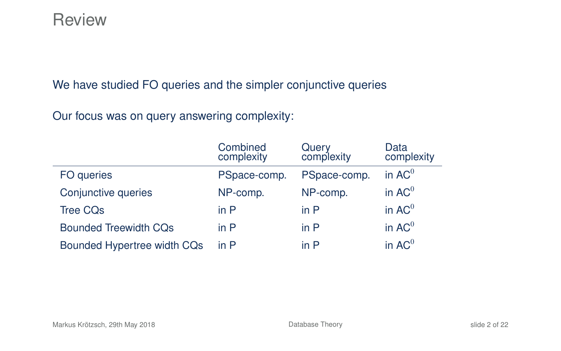#### **Review**

We have studied FO queries and the simpler conjunctive queries

Our focus was on query answering complexity:

|                              | Combined<br>complexity | Query<br>complexity | Data<br>complexity |
|------------------------------|------------------------|---------------------|--------------------|
| FO queries                   | PSpace-comp.           | PSpace-comp.        | in $AC0$           |
| Conjunctive queries          | NP-comp.               | NP-comp.            | in $AC0$           |
| <b>Tree CQs</b>              | in $P$                 | in $P$              | in $AC0$           |
| <b>Bounded Treewidth CQs</b> | in $P$                 | in P                | in $AC^0$          |
| Bounded Hypertree width CQs  | in $P$                 | in $P$              | in $AC^0$          |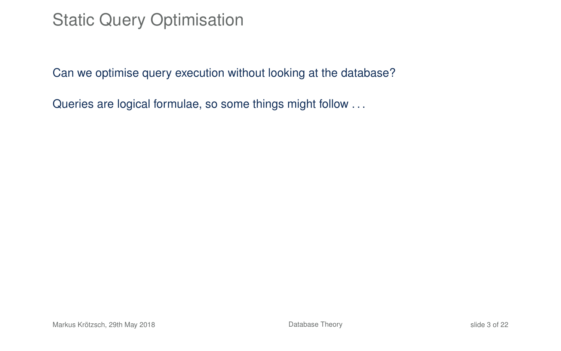# Static Query Optimisation

Can we optimise query execution without looking at the database?

Queries are logical formulae, so some things might follow ...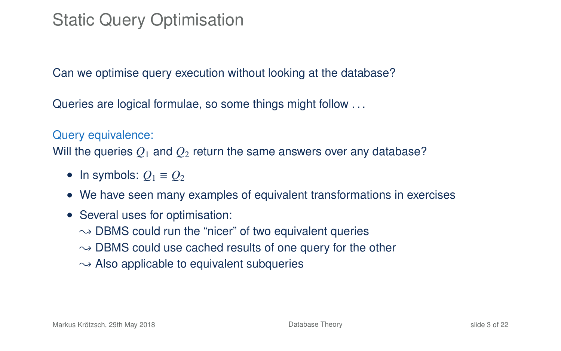# Static Query Optimisation

Can we optimise query execution without looking at the database?

Queries are logical formulae, so some things might follow ...

#### Query equivalence:

Will the queries  $Q_1$  and  $Q_2$  return the same answers over any database?

- In symbols:  $Q_1 \equiv Q_2$
- We have seen many examples of equivalent transformations in exercises
- Several uses for optimisation:
	- $\rightarrow$  DBMS could run the "nicer" of two equivalent queries
	- $\rightarrow$  DBMS could use cached results of one query for the other
	- $\rightarrow$  Also applicable to equivalent subqueries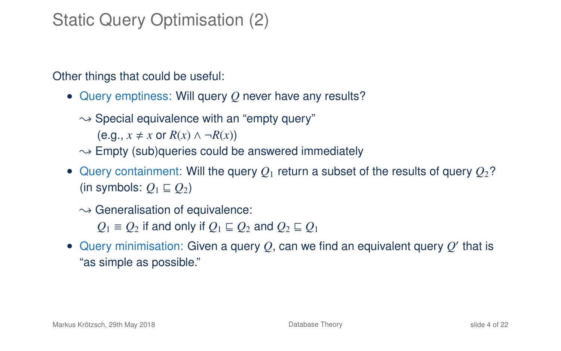# Static Query Optimisation (2)

Other things that could be useful:

- Query emptiness: Will query *Q* never have any results?
	- $\rightarrow$  Special equivalence with an "empty query"

 $(e.g., x \neq x \text{ or } R(x) \land \neg R(x))$ 

- $\rightarrow$  Empty (sub)queries could be answered immediately
- Query containment: Will the query  $Q_1$  return a subset of the results of query  $Q_2$ ? (in symbols:  $Q_1 \sqsubseteq Q_2$ )
	- $\rightarrow$  Generalisation of equivalence:

*Q*<sub>1</sub> ≡ *Q*<sub>2</sub> if and only if  $Q$ <sub>1</sub> ⊆ *Q*<sub>2</sub> and  $Q$ <sub>2</sub> ⊆  $Q$ <sub>1</sub>

 $\bullet$  Query minimisation: Given a query  $Q$ , can we find an equivalent query  $Q'$  that is "as simple as possible."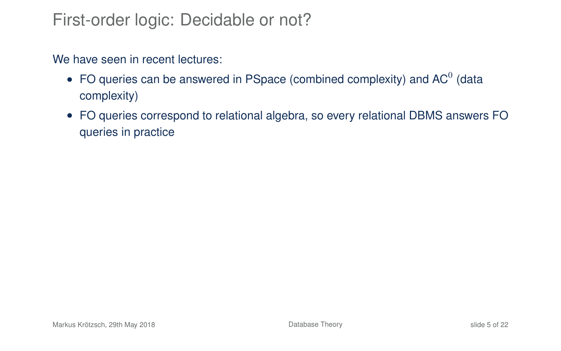#### First-order logic: Decidable or not?

We have seen in recent lectures:

- FO queries can be answered in PSpace (combined complexity) and AC<sup>0</sup> (data complexity)
- FO queries correspond to relational algebra, so every relational DBMS answers FO queries in practice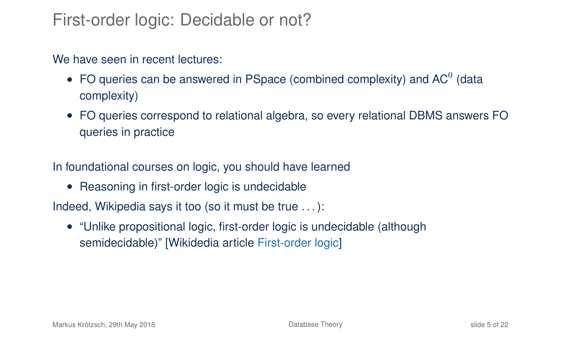#### First-order logic: Decidable or not?

#### We have seen in recent lectures:

- FO queries can be answered in PSpace (combined complexity) and AC<sup>0</sup> (data complexity)
- FO queries correspond to relational algebra, so every relational DBMS answers FO queries in practice

In foundational courses on logic, you should have learned

• Reasoning in first-order logic is undecidable

Indeed, Wikipedia says it too (so it must be true . . . ):

• "Unlike propositional logic, first-order logic is undecidable (although semidecidable)" [\[Wikidedia article](https://en.wikipedia.org/w/index.php?title=First-order_logic&oldid=663075836#Completeness_and_undecidability) First-order logic]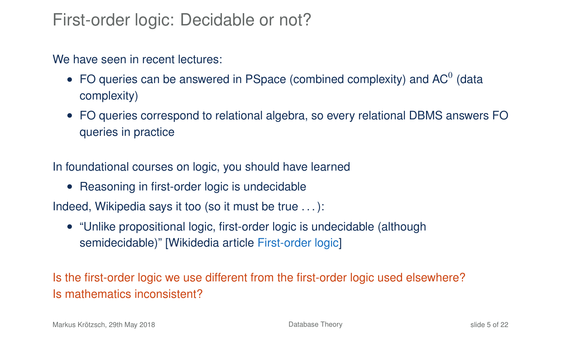#### First-order logic: Decidable or not?

#### We have seen in recent lectures:

- FO queries can be answered in PSpace (combined complexity) and AC<sup>0</sup> (data complexity)
- FO queries correspond to relational algebra, so every relational DBMS answers FO queries in practice

In foundational courses on logic, you should have learned

• Reasoning in first-order logic is undecidable

Indeed, Wikipedia says it too (so it must be true . . . ):

• "Unlike propositional logic, first-order logic is undecidable (although semidecidable)" [\[Wikidedia article](https://en.wikipedia.org/w/index.php?title=First-order_logic&oldid=663075836#Completeness_and_undecidability) First-order logic]

Is the first-order logic we use different from the first-order logic used elsewhere? Is mathematics inconsistent?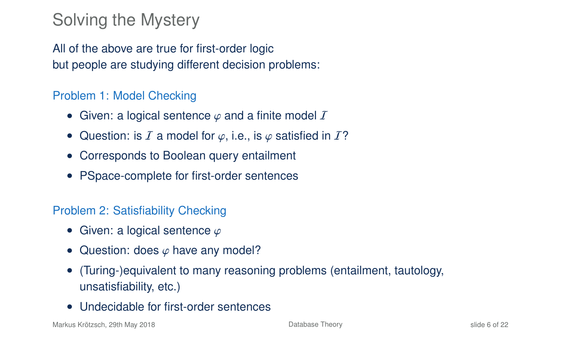# Solving the Mystery

All of the above are true for first-order logic but people are studying different decision problems:

#### Problem 1: Model Checking

- Given: a logical sentence  $\varphi$  and a finite model  $I$
- Question: is I a model for  $\varphi$ , i.e., is  $\varphi$  satisfied in I?
- Corresponds to Boolean query entailment
- PSpace-complete for first-order sentences

#### Problem 2: Satisfiability Checking

- Given: a logical sentence  $\varphi$
- Question: does  $\varphi$  have any model?
- (Turing-)equivalent to many reasoning problems (entailment, tautology, unsatisfiability, etc.)
- Undecidable for first-order sentences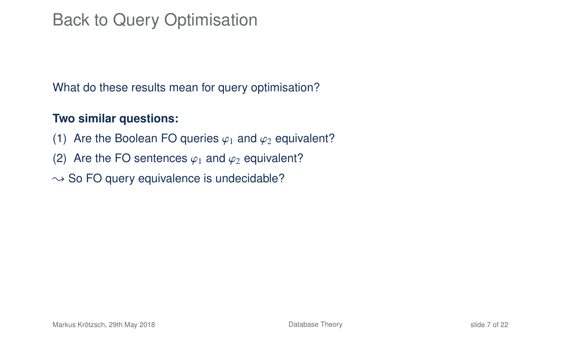# Back to Query Optimisation

What do these results mean for query optimisation?

#### **Two similar questions:**

- (1) Are the Boolean FO queries  $\varphi_1$  and  $\varphi_2$  equivalent?
- (2) Are the FO sentences  $\varphi_1$  and  $\varphi_2$  equivalent?
- $\rightarrow$  So FO query equivalence is undecidable?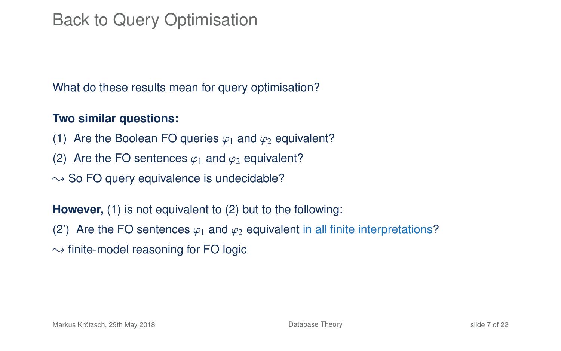# Back to Query Optimisation

What do these results mean for query optimisation?

#### **Two similar questions:**

- (1) Are the Boolean FO queries  $\varphi_1$  and  $\varphi_2$  equivalent?
- (2) Are the FO sentences  $\varphi_1$  and  $\varphi_2$  equivalent?
- $\rightarrow$  So FO query equivalence is undecidable?

**However,** (1) is not equivalent to (2) but to the following:

- (2) Are the FO sentences  $\varphi_1$  and  $\varphi_2$  equivalent in all finite interpretations?
- $\rightarrow$  finite-model reasoning for FO logic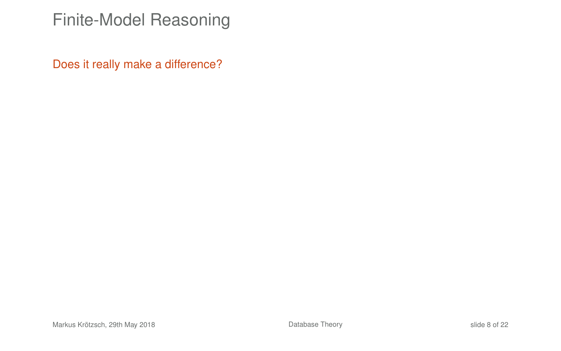#### Finite-Model Reasoning

Does it really make a difference?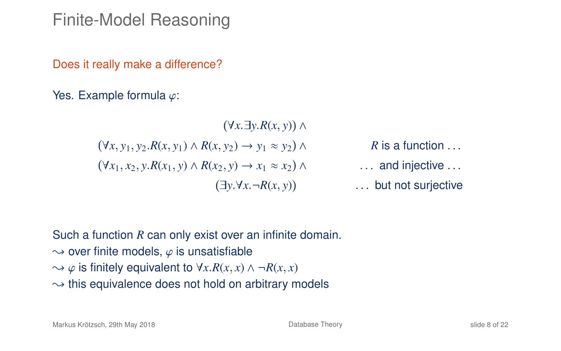Finite-Model Reasoning

Does it really make a difference?

Yes. Example formula  $\varphi$ :

 <sup>∀</sup>*x*.∃*y*.*R*(*x*, *<sup>y</sup>*) ∧ <sup>∀</sup>*x*, *<sup>y</sup>*<sup>1</sup>, *<sup>y</sup>*<sup>2</sup>.*R*(*x*, *<sup>y</sup>*1) <sup>∧</sup> *<sup>R</sup>*(*x*, *<sup>y</sup>*2) <sup>→</sup> *<sup>y</sup>*<sup>1</sup> <sup>≈</sup> *<sup>y</sup>*<sup>2</sup> ∧ *R* is a function . . . <sup>∀</sup>*x*<sup>1</sup>, *<sup>x</sup>*<sup>2</sup>, *<sup>y</sup>*.*R*(*x*<sup>1</sup>, *<sup>y</sup>*) <sup>∧</sup> *<sup>R</sup>*(*x*<sup>2</sup>, *<sup>y</sup>*) <sup>→</sup> *<sup>x</sup>*<sup>1</sup> <sup>≈</sup> *<sup>x</sup>*<sup>2</sup> ∧ . . . and injective . . . <sup>∃</sup>*y*.∀*x*.¬*R*(*x*, *<sup>y</sup>*) . . . but not surjective

Such a function *R* can only exist over an infinite domain.  $\rightarrow$  over finite models,  $\varphi$  is unsatisfiable  $\rightarrow$   $\varphi$  is finitely equivalent to  $\forall x \, R(x, x) \land \neg R(x, x)$  $\rightarrow$  this equivalence does not hold on arbitrary models

Markus Krötzsch, 29th May 2018 [Database Theory](#page-0-0) slide 8 of 22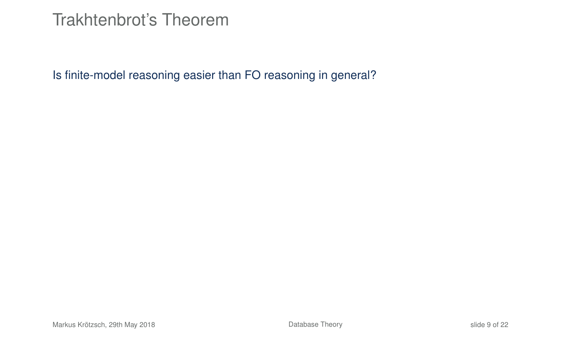#### Trakhtenbrot's Theorem

Is finite-model reasoning easier than FO reasoning in general?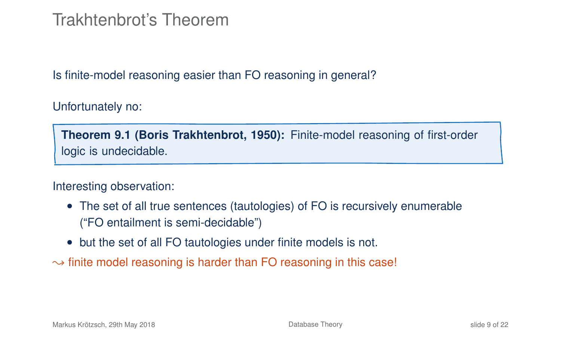#### Trakhtenbrot's Theorem

Is finite-model reasoning easier than FO reasoning in general?

Unfortunately no:

**Theorem 9.1 (Boris Trakhtenbrot, 1950):** Finite-model reasoning of first-order logic is undecidable.

Interesting observation:

- The set of all true sentences (tautologies) of FO is recursively enumerable ("FO entailment is semi-decidable")
- but the set of all FO tautologies under finite models is not.
- $\rightarrow$  finite model reasoning is harder than FO reasoning in this case!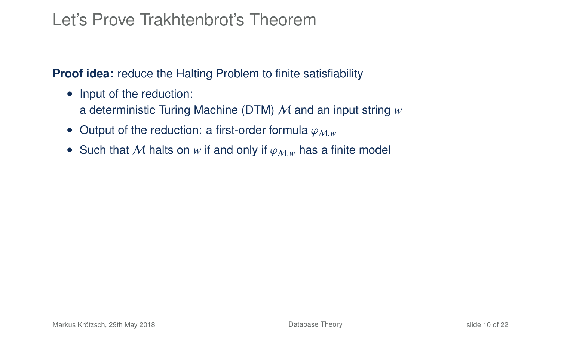#### Let's Prove Trakhtenbrot's Theorem

**Proof idea:** reduce the Halting Problem to finite satisfiability

- Input of the reduction: a deterministic Turing Machine (DTM) M and an input string *w*
- Output of the reduction: a first-order formula  $\varphi_{M,w}$
- Such that M halts on w if and only if  $\varphi_{M,w}$  has a finite model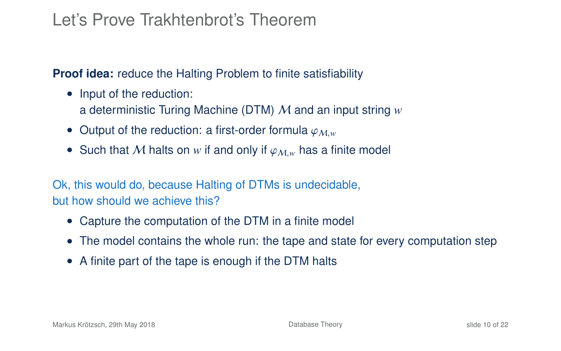#### Let's Prove Trakhtenbrot's Theorem

**Proof idea:** reduce the Halting Problem to finite satisfiability

- Input of the reduction: a deterministic Turing Machine (DTM) M and an input string *w*
- Output of the reduction: a first-order formula  $\varphi_{M,w}$
- Such that M halts on w if and only if  $\varphi_{M,w}$  has a finite model

Ok, this would do, because Halting of DTMs is undecidable, but how should we achieve this?

- Capture the computation of the DTM in a finite model
- The model contains the whole run: the tape and state for every computation step
- A finite part of the tape is enough if the DTM halts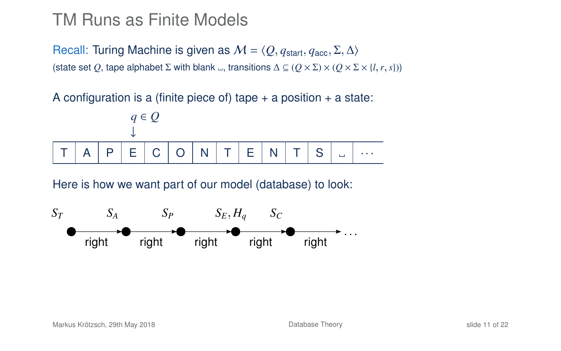#### TM Runs as Finite Models

Recall: Turing Machine is given as  $M = \langle O, q_{start}, q_{acc}, \Sigma, \Delta \rangle$ (state set *Q*, tape alphabet  $\Sigma$  with blank  $\Box$ , transitions  $\Delta \subseteq (Q \times \Sigma) \times (Q \times \Sigma \times \{l, r, s\})$ )

A configuration is a (finite piece of) tape  $+$  a position  $+$  a state:



Here is how we want part of our model (database) to look:

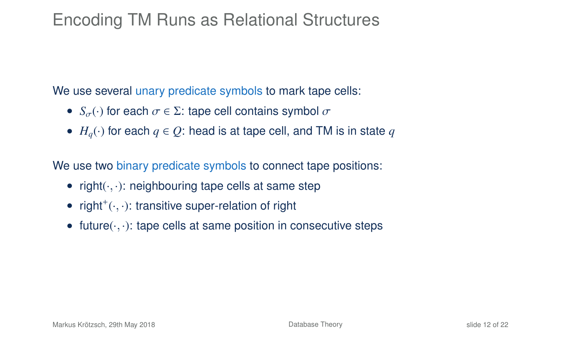### Encoding TM Runs as Relational Structures

We use several unary predicate symbols to mark tape cells:

- $S_{\sigma}(\cdot)$  for each  $\sigma \in \Sigma$ : tape cell contains symbol  $\sigma$
- $H_a(\cdot)$  for each  $q \in \mathcal{O}$ : head is at tape cell, and TM is in state  $q$

We use two binary predicate symbols to connect tape positions:

- right $(\cdot, \cdot)$ : neighbouring tape cells at same step
- right<sup>+</sup> $(\cdot, \cdot)$ : transitive super-relation of right
- future $(\cdot, \cdot)$ : tape cells at same position in consecutive steps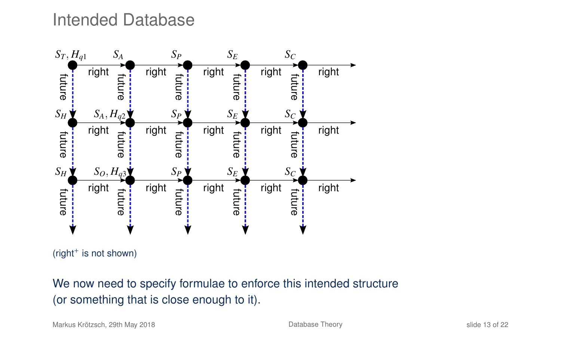Intended Database



(right<sup>+</sup> is not shown)

We now need to specify formulae to enforce this intended structure (or something that is close enough to it).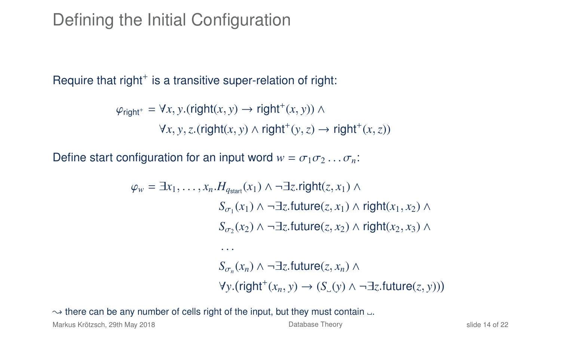## Defining the Initial Configuration

Require that right $^+$  is a transitive super-relation of right:

$$
\varphi_{\text{right}^+} = \forall x, y. (\text{right}(x, y) \rightarrow \text{right}^+(x, y)) \land
$$

$$
\forall x, y, z. (\text{right}(x, y) \land \text{right}^+(y, z) \rightarrow \text{right}^+(x, z))
$$

Define start configuration for an input word  $w = \sigma_1 \sigma_2 \ldots \sigma_n$ .

$$
\varphi_w = \exists x_1, \dots, x_n. H_{q_{start}}(x_1) \land \neg \exists z.\text{right}(z, x_1) \land
$$
  
\n
$$
S_{\sigma_1}(x_1) \land \neg \exists z.\text{future}(z, x_1) \land \text{right}(x_1, x_2) \land
$$
  
\n
$$
S_{\sigma_2}(x_2) \land \neg \exists z.\text{future}(z, x_2) \land \text{right}(x_2, x_3) \land
$$
  
\n...  
\n
$$
S_{\sigma_n}(x_n) \land \neg \exists z.\text{future}(z, x_n) \land
$$
  
\n
$$
\forall y.(\text{right}^+(x_n, y) \rightarrow (S_{\sigma}(y) \land \neg \exists z.\text{future}(z, y)))
$$

#### $\rightarrow$  there can be any number of cells right of the input, but they must contain  $\Box$ .

Markus Krötzsch, 29th May 2018 **[Database Theory](#page-0-0)** Database Theory **Slide 14 of 22** Slide 14 of 22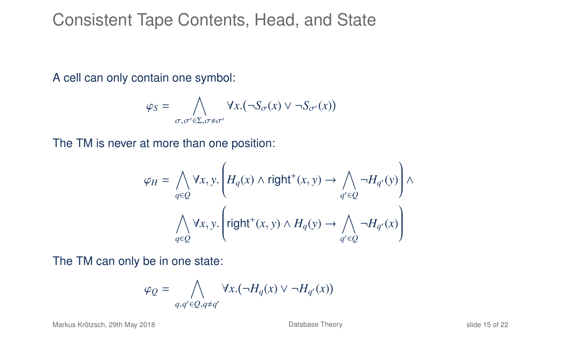#### Consistent Tape Contents, Head, and State

A cell can only contain one symbol:

$$
\varphi_S = \bigwedge_{\sigma,\sigma' \in \Sigma, \sigma \neq \sigma'} \forall x. (\neg S_{\sigma}(x) \vee \neg S_{\sigma'}(x))
$$

The TM is never at more than one position:

$$
\varphi_H = \bigwedge_{q \in Q} \forall x, y. \left( H_q(x) \land \text{right}^+(x, y) \to \bigwedge_{q' \in Q} \neg H_{q'}(y) \right) \land
$$

$$
\bigwedge_{q \in Q} \forall x, y. \left( \text{right}^+(x, y) \land H_q(y) \to \bigwedge_{q' \in Q} \neg H_{q'}(x) \right)
$$

The TM can only be in one state:

$$
\varphi_Q=\bigwedge_{q,q'\in Q, q\neq q'} \forall x.(\neg H_q(x)\vee \neg H_{q'}(x))
$$

Markus Krötzsch, 29th May 2018 **[Database Theory](#page-0-0)** Database Theory **Slide 15 of 22** and 22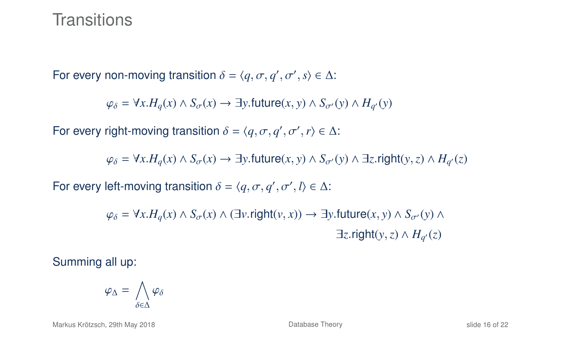#### **Transitions**

For every non-moving transition  $\delta = \langle q, \sigma, q', \sigma', s \rangle \in \Delta$ :

 $\varphi_{\delta} = \forall x. H_q(x) \land S_{\sigma}(x) \rightarrow \exists y.$ future $(x, y) \land S_{\sigma'}(y) \land H_{q'}(y)$ 

For every right-moving transition  $\delta = \langle q, \sigma, q', \sigma', r \rangle \in \Delta$ :

 $\varphi_{\delta} = \forall x. H_q(x) \land S_{\sigma}(x) \rightarrow \exists y.$ future $(x, y) \land S_{\sigma}(y) \land \exists z.$ right $(y, z) \land H_{q'}(z)$ 

For every left-moving transition  $\delta = \langle q, \sigma, q', \sigma', l \rangle \in \Delta$ :

 $\varphi_{\delta} = \forall x . H_{a}(x) \land S_{\sigma}(x) \land (\exists v . \text{right}(v, x)) \rightarrow \exists y . \text{future}(x, y) \land S_{\sigma}(y) \land$  $\exists z \text{.right}(y, z) \land H_{q'}(z)$ 

Summing all up:

$$
\varphi_{\Delta} = \bigwedge_{\delta \in \Delta} \varphi_{\delta}
$$

Markus Krötzsch, 29th May 2018 [Database Theory](#page-0-0) slide 16 of 22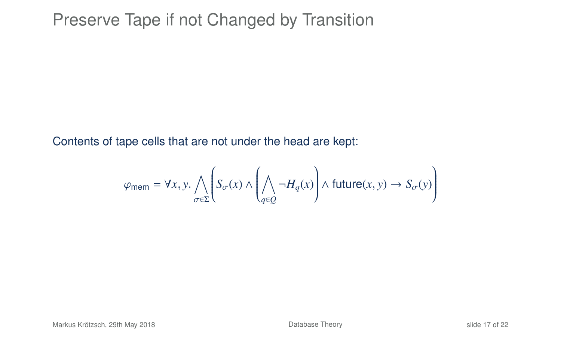### Preserve Tape if not Changed by Transition

Contents of tape cells that are not under the head are kept:

$$
\varphi_{\text{mem}} = \forall x, y. \bigwedge_{\sigma \in \Sigma} \left( S_{\sigma}(x) \land \left( \bigwedge_{q \in Q} \neg H_q(x) \right) \land \text{future}(x, y) \rightarrow S_{\sigma}(y) \right)
$$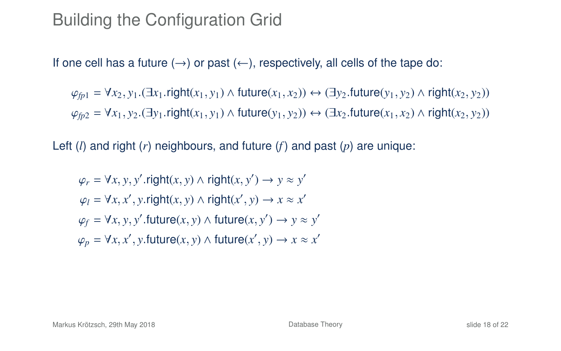# Building the Configuration Grid

If one cell has a future  $(\rightarrow)$  or past  $(\leftarrow)$ , respectively, all cells of the tape do:

 $\varphi_{fp1} = \forall x_2, y_1$ . ( $\exists x_1$ .right( $x_1, y_1$ ) ∧ future( $x_1, x_2$ )) ↔  $(\exists y_2$ .future( $y_1, y_2$ ) ∧ right( $x_2, y_2$ ))  $\varphi_{fp2} = \forall x_1, y_2$ .  $(\exists y_1 \text{.right}(x_1, y_1) \land \text{future}(y_1, y_2)) \leftrightarrow (\exists x_2 \text{.future}(x_1, x_2) \land \text{right}(x_2, y_2))$ 

Left (*l*) and right (*r*) neighbours, and future (*f*) and past (*p*) are unique:

$$
\varphi_r = \forall x, y, y'.\text{right}(x, y) \land \text{right}(x, y') \rightarrow y \approx y'
$$

$$
\varphi_l = \forall x, x', y.\text{right}(x, y) \land \text{right}(x', y) \rightarrow x \approx x'
$$

$$
\varphi_f = \forall x, y, y'.\text{future}(x, y) \land \text{future}(x, y') \rightarrow y \approx y'
$$

$$
\varphi_p = \forall x, x', y.\text{future}(x, y) \land \text{future}(x', y) \rightarrow x \approx x'
$$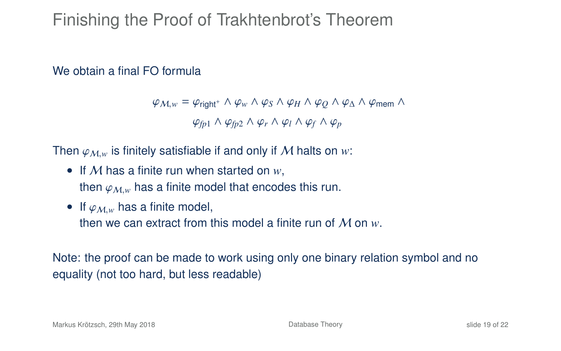# Finishing the Proof of Trakhtenbrot's Theorem

#### We obtain a final FO formula

 $\varphi_{M,w} = \varphi_{\text{right}^+} \wedge \varphi_w \wedge \varphi_S \wedge \varphi_H \wedge \varphi_O \wedge \varphi_A \wedge \varphi_{\text{mem}} \wedge$  $\varphi_{fn1} \wedge \varphi_{fn2} \wedge \varphi_r \wedge \varphi_l \wedge \varphi_f \wedge \varphi_p$ 

Then  $\varphi_{M,w}$  is finitely satisfiable if and only if M halts on w:

- If M has a finite run when started on *w*, then  $\varphi_{M,w}$  has a finite model that encodes this run.
- If  $\varphi_{M,w}$  has a finite model, then we can extract from this model a finite run of M on *w*.

Note: the proof can be made to work using only one binary relation symbol and no equality (not too hard, but less readable)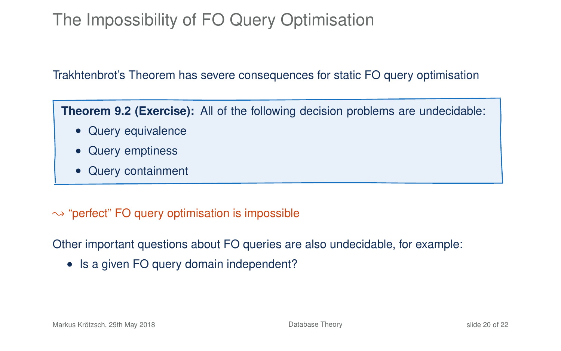# The Impossibility of FO Query Optimisation

#### Trakhtenbrot's Theorem has severe consequences for static FO query optimisation

**Theorem 9.2 (Exercise):** All of the following decision problems are undecidable:

- Query equivalence
- Query emptiness
- Query containment

#### $\rightarrow$  "perfect" FO query optimisation is impossible

Other important questions about FO queries are also undecidable, for example:

• Is a given FO query domain independent?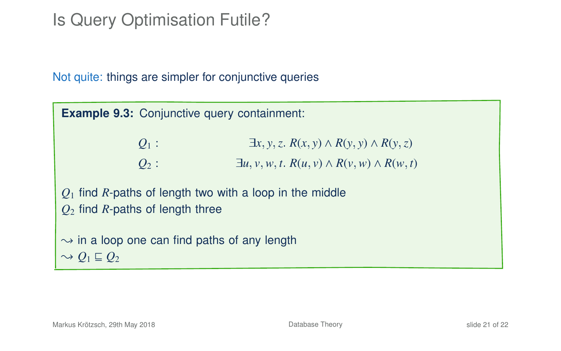# Is Query Optimisation Futile?

Not quite: things are simpler for conjunctive queries

**Example 9.3:** Conjunctive query containment:  $Q_1$  :  $\exists x, y, z, R(x, y) \wedge R(y, y) \wedge R(y, z)$  $Q_2$ :  $\exists u, v, w, t$ .  $R(u, v) \wedge R(v, w) \wedge R(w, t)$ *Q*<sup>1</sup> find *R*-paths of length two with a loop in the middle *Q*<sup>2</sup> find *R*-paths of length three  $\rightarrow$  in a loop one can find paths of any length  $\sim Q_1 \sqsubseteq Q_2$